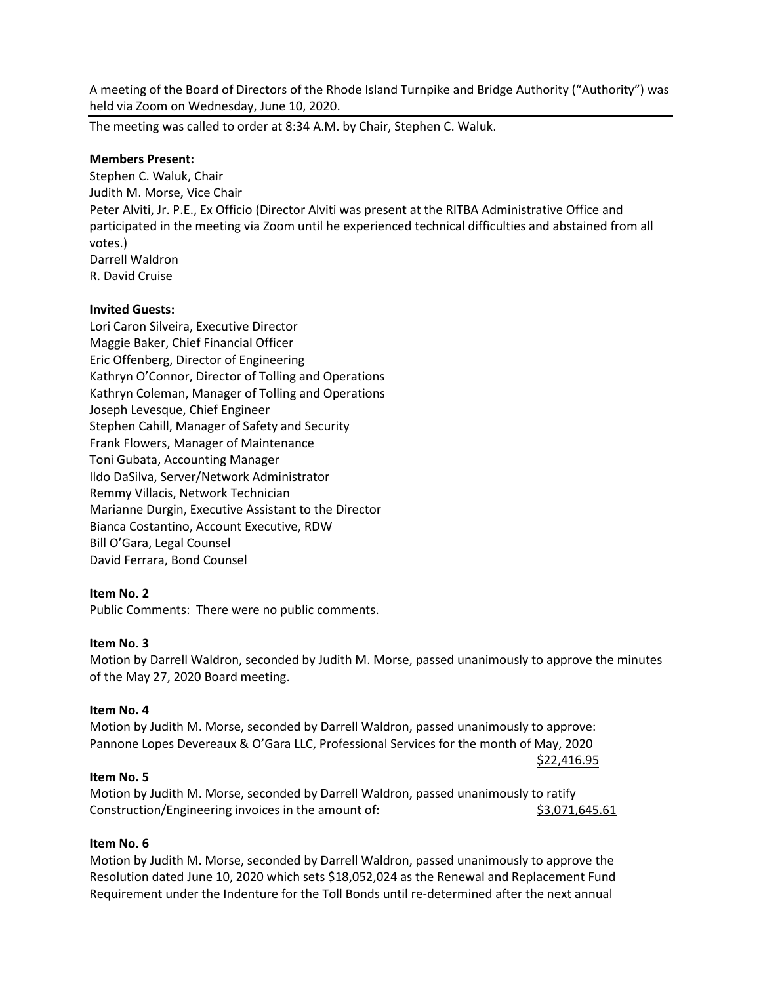A meeting of the Board of Directors of the Rhode Island Turnpike and Bridge Authority ("Authority") was held via Zoom on Wednesday, June 10, 2020.

The meeting was called to order at 8:34 A.M. by Chair, Stephen C. Waluk.

## **Members Present:**

Stephen C. Waluk, Chair Judith M. Morse, Vice Chair Peter Alviti, Jr. P.E., Ex Officio (Director Alviti was present at the RITBA Administrative Office and participated in the meeting via Zoom until he experienced technical difficulties and abstained from all votes.) Darrell Waldron R. David Cruise

### **Invited Guests:**

Lori Caron Silveira, Executive Director Maggie Baker, Chief Financial Officer Eric Offenberg, Director of Engineering Kathryn O'Connor, Director of Tolling and Operations Kathryn Coleman, Manager of Tolling and Operations Joseph Levesque, Chief Engineer Stephen Cahill, Manager of Safety and Security Frank Flowers, Manager of Maintenance Toni Gubata, Accounting Manager Ildo DaSilva, Server/Network Administrator Remmy Villacis, Network Technician Marianne Durgin, Executive Assistant to the Director Bianca Costantino, Account Executive, RDW Bill O'Gara, Legal Counsel David Ferrara, Bond Counsel

## **Item No. 2**

Public Comments: There were no public comments.

#### **Item No. 3**

Motion by Darrell Waldron, seconded by Judith M. Morse, passed unanimously to approve the minutes of the May 27, 2020 Board meeting.

\$22,416.95

#### **Item No. 4**

Motion by Judith M. Morse, seconded by Darrell Waldron, passed unanimously to approve: Pannone Lopes Devereaux & O'Gara LLC, Professional Services for the month of May, 2020

#### **Item No. 5**

Motion by Judith M. Morse, seconded by Darrell Waldron, passed unanimously to ratify Construction/Engineering invoices in the amount of:  $\frac{\$3,071,645.61}{5,071}$ 

#### **Item No. 6**

Motion by Judith M. Morse, seconded by Darrell Waldron, passed unanimously to approve the Resolution dated June 10, 2020 which sets \$18,052,024 as the Renewal and Replacement Fund Requirement under the Indenture for the Toll Bonds until re-determined after the next annual